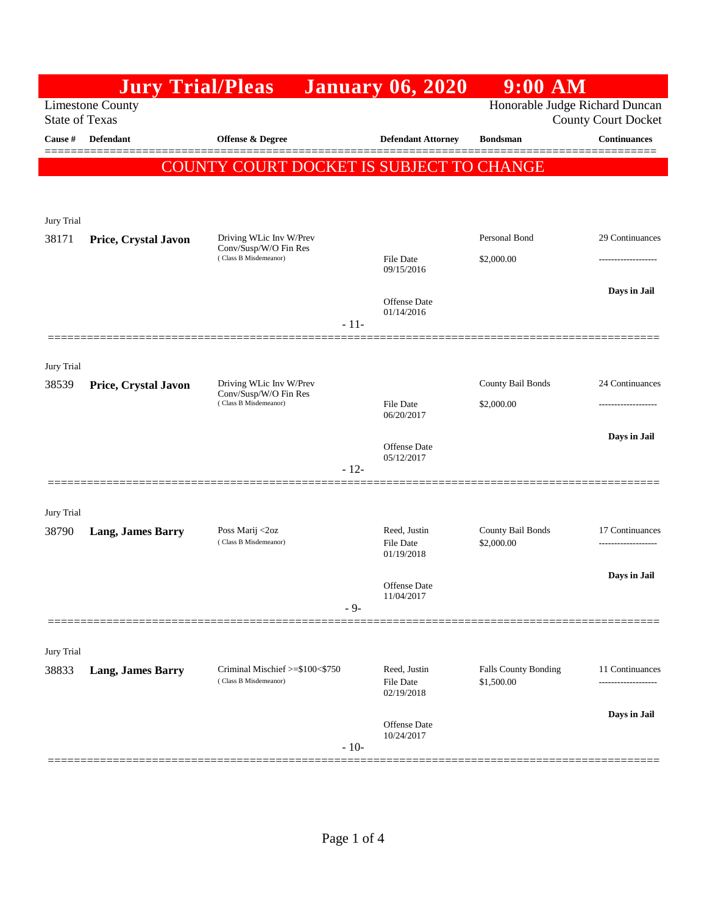|                                                                                    | <b>Jury Trial/Pleas</b>  |                                                                           |        | <b>January 06, 2020</b>           | $9:00$ AM                                 |                             |
|------------------------------------------------------------------------------------|--------------------------|---------------------------------------------------------------------------|--------|-----------------------------------|-------------------------------------------|-----------------------------|
| Honorable Judge Richard Duncan<br><b>Limestone County</b><br><b>State of Texas</b> |                          |                                                                           |        |                                   |                                           | <b>County Court Docket</b>  |
| Cause #                                                                            | Defendant                | <b>Offense &amp; Degree</b>                                               |        | <b>Defendant Attorney</b>         | <b>Bondsman</b>                           | <b>Continuances</b>         |
|                                                                                    |                          | COUNTY COURT DOCKET IS SUBJECT TO CHANGE                                  |        |                                   |                                           |                             |
|                                                                                    |                          |                                                                           |        |                                   |                                           |                             |
| Jury Trial                                                                         |                          |                                                                           |        |                                   |                                           |                             |
| 38171                                                                              | Price, Crystal Javon     | Driving WLic Inv W/Prev                                                   |        |                                   | Personal Bond                             | 29 Continuances             |
|                                                                                    |                          | Conv/Susp/W/O Fin Res<br>(Class B Misdemeanor)                            |        | File Date<br>09/15/2016           | \$2,000.00                                |                             |
|                                                                                    |                          |                                                                           | $-11-$ | Offense Date<br>01/14/2016        |                                           | Days in Jail                |
|                                                                                    |                          |                                                                           |        |                                   |                                           |                             |
| Jury Trial                                                                         |                          |                                                                           |        |                                   |                                           |                             |
| 38539                                                                              | Price, Crystal Javon     | Driving WLic Inv W/Prev<br>Conv/Susp/W/O Fin Res<br>(Class B Misdemeanor) |        | <b>File Date</b>                  | County Bail Bonds                         | 24 Continuances             |
|                                                                                    |                          |                                                                           |        | 06/20/2017                        | \$2,000.00                                |                             |
|                                                                                    |                          |                                                                           |        | Offense Date                      |                                           | Days in Jail                |
|                                                                                    |                          |                                                                           | $-12-$ | 05/12/2017                        |                                           |                             |
|                                                                                    |                          |                                                                           |        |                                   |                                           |                             |
| Jury Trial                                                                         |                          | Poss Marij <2oz                                                           |        | Reed, Justin                      | County Bail Bonds                         | 17 Continuances             |
| 38790                                                                              | <b>Lang, James Barry</b> | (Class B Misdemeanor)                                                     |        | <b>File Date</b><br>01/19/2018    | \$2,000.00                                | -------------------         |
|                                                                                    |                          |                                                                           |        | Offense Date                      |                                           | Days in Jail                |
|                                                                                    |                          |                                                                           | $-9-$  | 11/04/2017                        |                                           |                             |
|                                                                                    |                          |                                                                           |        |                                   |                                           |                             |
| Jury Trial                                                                         |                          |                                                                           |        |                                   |                                           |                             |
| 38833                                                                              | <b>Lang, James Barry</b> | Criminal Mischief >=\$100<\$750<br>(Class B Misdemeanor)                  |        | Reed, Justin<br><b>File Date</b>  | <b>Falls County Bonding</b><br>\$1,500.00 | 11 Continuances<br>-------- |
|                                                                                    |                          |                                                                           |        |                                   |                                           | Days in Jail                |
|                                                                                    |                          |                                                                           | $-10-$ | <b>Offense</b> Date<br>10/24/2017 |                                           |                             |
|                                                                                    |                          |                                                                           |        | 02/19/2018                        |                                           |                             |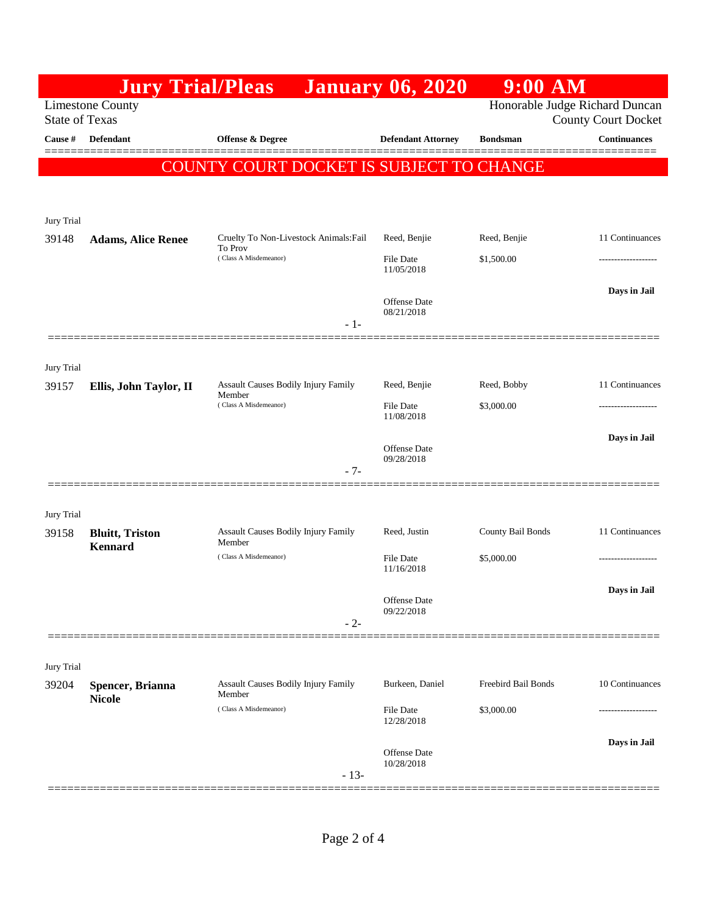|                       | <b>Jury Trial/Pleas</b>                   |                                                                               | <b>January 06, 2020</b>                  | $9:00$ AM                         |                                      |  |  |  |
|-----------------------|-------------------------------------------|-------------------------------------------------------------------------------|------------------------------------------|-----------------------------------|--------------------------------------|--|--|--|
| <b>State of Texas</b> | <b>Limestone County</b>                   | Honorable Judge Richard Duncan<br><b>County Court Docket</b>                  |                                          |                                   |                                      |  |  |  |
| Cause #               | Defendant                                 | <b>Offense &amp; Degree</b>                                                   | <b>Defendant Attorney</b>                | <b>Bondsman</b>                   | <b>Continuances</b>                  |  |  |  |
|                       | COUNTY COURT DOCKET IS SUBJECT TO CHANGE  |                                                                               |                                          |                                   |                                      |  |  |  |
| Jury Trial            |                                           |                                                                               |                                          |                                   |                                      |  |  |  |
| 39148                 | <b>Adams, Alice Renee</b>                 | Cruelty To Non-Livestock Animals: Fail<br>To Prov                             | Reed, Benjie                             | Reed, Benjie                      | 11 Continuances                      |  |  |  |
|                       |                                           | (Class A Misdemeanor)                                                         | <b>File Date</b><br>11/05/2018           | \$1,500.00                        |                                      |  |  |  |
|                       |                                           | $-1-$                                                                         | Offense Date<br>08/21/2018               |                                   | Days in Jail                         |  |  |  |
| Jury Trial            |                                           |                                                                               | Reed, Benjie                             |                                   | 11 Continuances                      |  |  |  |
| 39157                 | Ellis, John Taylor, II                    | <b>Assault Causes Bodily Injury Family</b><br>Member<br>(Class A Misdemeanor) | <b>File Date</b><br>11/08/2018           | Reed, Bobby<br>\$3,000.00         |                                      |  |  |  |
|                       |                                           | $-7-$                                                                         | Offense Date<br>09/28/2018               |                                   | Days in Jail                         |  |  |  |
| Jury Trial            |                                           |                                                                               |                                          |                                   |                                      |  |  |  |
| 39158                 | <b>Bluitt</b> , Triston<br><b>Kennard</b> | <b>Assault Causes Bodily Injury Family</b><br>Member<br>(Class A Misdemeanor) | Reed, Justin<br><b>File Date</b>         | County Bail Bonds<br>\$5,000.00   | 11 Continuances<br>----------------- |  |  |  |
|                       |                                           | $-2-$                                                                         | 11/16/2018<br>Offense Date<br>09/22/2018 |                                   | Days in Jail                         |  |  |  |
| Jury Trial            |                                           |                                                                               |                                          |                                   |                                      |  |  |  |
| 39204                 | Spencer, Brianna<br><b>Nicole</b>         | <b>Assault Causes Bodily Injury Family</b><br>Member<br>(Class A Misdemeanor) | Burkeen, Daniel<br>File Date             | Freebird Bail Bonds<br>\$3,000.00 | 10 Continuances                      |  |  |  |
|                       |                                           |                                                                               | 12/28/2018                               |                                   | Days in Jail                         |  |  |  |
|                       |                                           | $-13-$                                                                        | Offense Date<br>10/28/2018               |                                   |                                      |  |  |  |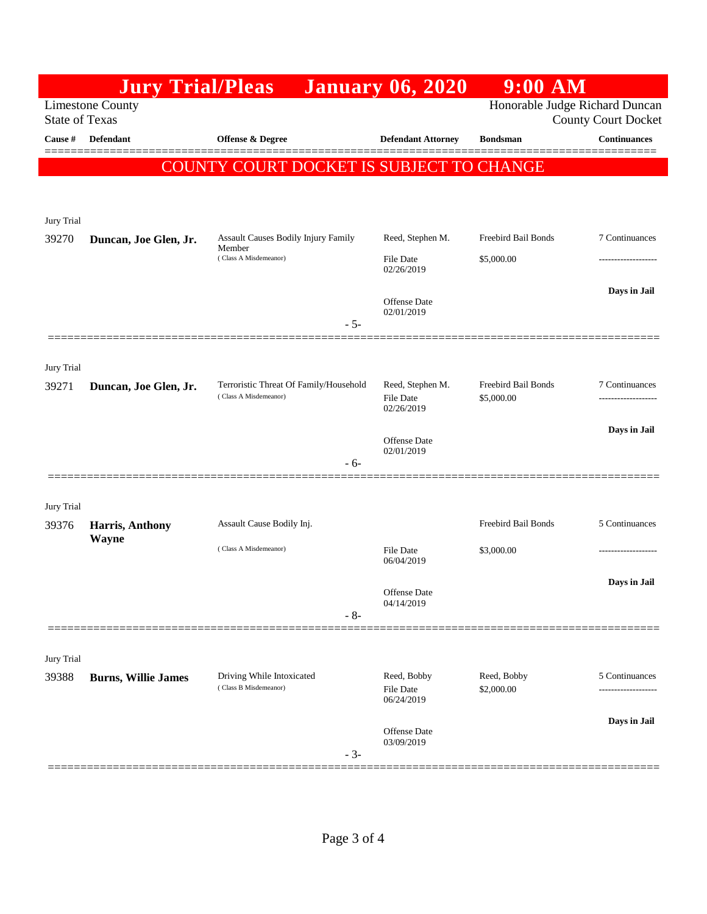|                                                                                                                  | <b>Jury Trial/Pleas</b>    |                                                                        | <b>January 06, 2020</b>           | $9:00$ AM                         |                     |
|------------------------------------------------------------------------------------------------------------------|----------------------------|------------------------------------------------------------------------|-----------------------------------|-----------------------------------|---------------------|
| Honorable Judge Richard Duncan<br><b>Limestone County</b><br><b>State of Texas</b><br><b>County Court Docket</b> |                            |                                                                        |                                   |                                   |                     |
| Cause #                                                                                                          | Defendant                  | <b>Offense &amp; Degree</b>                                            | <b>Defendant Attorney</b>         | <b>Bondsman</b>                   | <b>Continuances</b> |
|                                                                                                                  |                            | COUNTY COURT DOCKET IS SUBJECT TO CHANGE                               |                                   |                                   |                     |
|                                                                                                                  |                            |                                                                        |                                   |                                   |                     |
| Jury Trial                                                                                                       |                            |                                                                        |                                   |                                   |                     |
| 39270                                                                                                            | Duncan, Joe Glen, Jr.      | Assault Causes Bodily Injury Family<br>Member<br>(Class A Misdemeanor) | Reed, Stephen M.                  | Freebird Bail Bonds<br>\$5,000.00 | 7 Continuances      |
|                                                                                                                  |                            |                                                                        | File Date<br>02/26/2019           |                                   |                     |
|                                                                                                                  |                            |                                                                        |                                   |                                   | Days in Jail        |
|                                                                                                                  |                            |                                                                        | Offense Date<br>02/01/2019        |                                   |                     |
|                                                                                                                  |                            | $-5-$                                                                  |                                   |                                   |                     |
| Jury Trial                                                                                                       |                            |                                                                        |                                   |                                   |                     |
| 39271                                                                                                            | Duncan, Joe Glen, Jr.      | Terroristic Threat Of Family/Household<br>(Class A Misdemeanor)        | Reed, Stephen M.<br>File Date     | Freebird Bail Bonds<br>\$5,000.00 | 7 Continuances      |
|                                                                                                                  |                            |                                                                        | 02/26/2019                        |                                   |                     |
|                                                                                                                  |                            |                                                                        | Offense Date                      |                                   | Days in Jail        |
|                                                                                                                  |                            | - 6-                                                                   | 02/01/2019                        |                                   |                     |
|                                                                                                                  |                            |                                                                        |                                   |                                   |                     |
| Jury Trial<br>39376                                                                                              | Harris, Anthony            | Assault Cause Bodily Inj.                                              |                                   | Freebird Bail Bonds               | 5 Continuances      |
|                                                                                                                  | <b>Wayne</b>               | (Class A Misdemeanor)                                                  | <b>File Date</b>                  | \$3,000.00                        |                     |
|                                                                                                                  |                            |                                                                        | 06/04/2019                        |                                   |                     |
|                                                                                                                  |                            |                                                                        | Offense Date                      |                                   | Days in Jail        |
|                                                                                                                  |                            | $-8-$                                                                  | 04/14/2019                        |                                   |                     |
|                                                                                                                  |                            |                                                                        |                                   |                                   |                     |
| Jury Trial<br>39388                                                                                              | <b>Burns, Willie James</b> | Driving While Intoxicated                                              | Reed, Bobby                       | Reed, Bobby                       | 5 Continuances      |
|                                                                                                                  |                            | (Class B Misdemeanor)                                                  | File Date<br>06/24/2019           | \$2,000.00                        | .                   |
|                                                                                                                  |                            |                                                                        |                                   |                                   | Days in Jail        |
|                                                                                                                  |                            |                                                                        | <b>Offense</b> Date<br>03/09/2019 |                                   |                     |
|                                                                                                                  |                            | $-3-$                                                                  |                                   |                                   |                     |